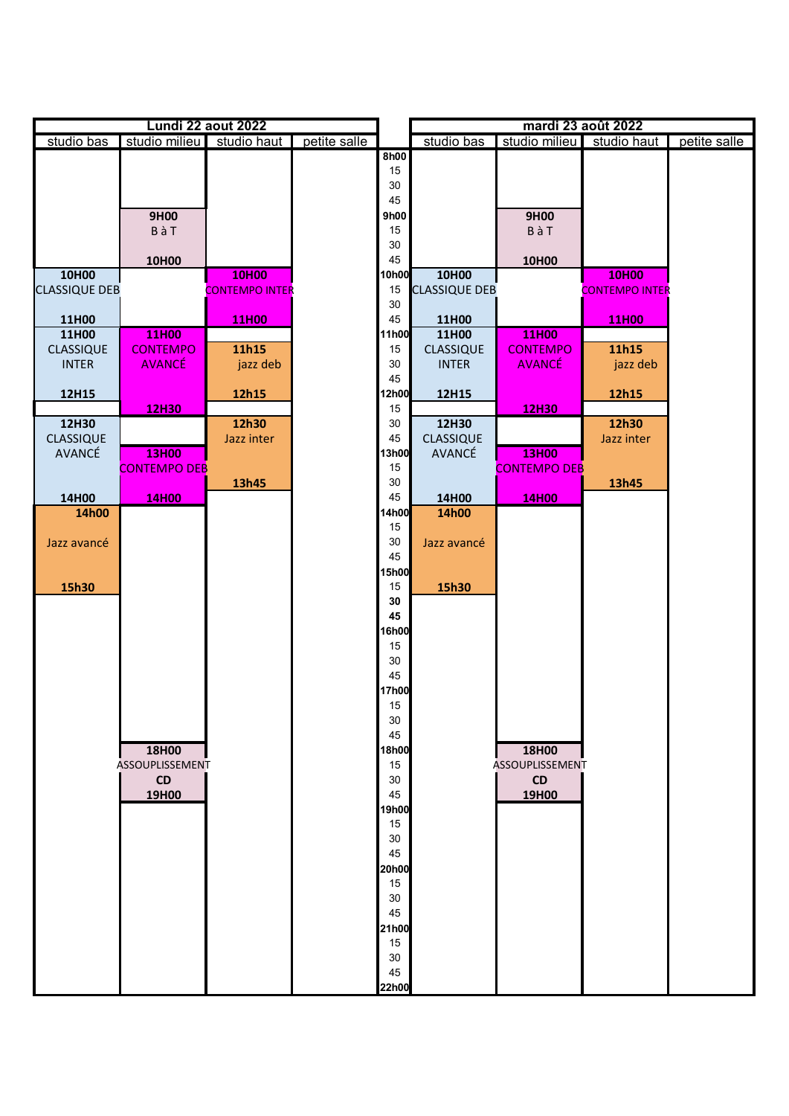| Lundi 22 aout 2022   |                     |                           |              | mardi 23 août 2022 |                      |                     |                       |              |
|----------------------|---------------------|---------------------------|--------------|--------------------|----------------------|---------------------|-----------------------|--------------|
| studio bas           |                     | studio milieu studio haut | petite salle |                    | studio bas           | studio milieu       | studio haut           | petite salle |
|                      |                     |                           |              | 8h00               |                      |                     |                       |              |
|                      |                     |                           |              | 15                 |                      |                     |                       |              |
|                      |                     |                           |              | $30\,$<br>45       |                      |                     |                       |              |
|                      | 9H00                |                           |              | 9h00               |                      | 9H00                |                       |              |
|                      | BàT                 |                           |              | 15                 |                      | BàT                 |                       |              |
|                      |                     |                           |              | 30                 |                      |                     |                       |              |
|                      | 10H00               |                           |              | 45                 |                      | 10H00               |                       |              |
| 10H00                |                     | 10H00                     |              | 10h00              | 10H00                |                     | 10H00                 |              |
| <b>CLASSIQUE DEB</b> |                     | <b>CONTEMPO INTER</b>     |              | 15                 | <b>CLASSIQUE DEB</b> |                     | <b>CONTEMPO INTER</b> |              |
|                      |                     |                           |              | 30                 |                      |                     |                       |              |
| 11H00                |                     | 11H00                     |              | 45                 | 11H00                |                     | 11H00                 |              |
| <b>11H00</b>         | 11H00               |                           |              | 11h00              | 11H00                | 11H00               |                       |              |
| CLASSIQUE            | <b>CONTEMPO</b>     | 11h15                     |              | 15                 | <b>CLASSIQUE</b>     | <b>CONTEMPO</b>     | 11h15                 |              |
| <b>INTER</b>         | <b>AVANCÉ</b>       | jazz deb                  |              | 30                 | <b>INTER</b>         | <b>AVANCÉ</b>       | jazz deb              |              |
|                      |                     |                           |              | 45                 |                      |                     |                       |              |
| 12H15                |                     | 12h15                     |              | 12h00<br>15        | 12H15                | 12H30               | 12h15                 |              |
| 12H30                | 12H30               | 12h30                     |              | 30                 | 12H30                |                     | 12h30                 |              |
| CLASSIQUE            |                     | Jazz inter                |              | 45                 | CLASSIQUE            |                     | Jazz inter            |              |
| AVANCÉ               | 13H00               |                           |              | 13h00              | AVANCÉ               | 13H00               |                       |              |
|                      | <b>CONTEMPO DEB</b> |                           |              | 15                 |                      | <b>CONTEMPO DEB</b> |                       |              |
|                      |                     | 13h45                     |              | 30                 |                      |                     | 13h45                 |              |
| 14H00                | 14H00               |                           |              | 45                 | 14H00                | 14H00               |                       |              |
| 14h00                |                     |                           |              | 14h00              | 14h00                |                     |                       |              |
|                      |                     |                           |              | 15                 |                      |                     |                       |              |
| Jazz avancé          |                     |                           |              | 30                 | Jazz avancé          |                     |                       |              |
|                      |                     |                           |              | 45                 |                      |                     |                       |              |
|                      |                     |                           |              | 15h00<br>15        |                      |                     |                       |              |
| 15h30                |                     |                           |              | 30                 | 15h30                |                     |                       |              |
|                      |                     |                           |              | 45                 |                      |                     |                       |              |
|                      |                     |                           |              | 16h00              |                      |                     |                       |              |
|                      |                     |                           |              | 15                 |                      |                     |                       |              |
|                      |                     |                           |              | 30                 |                      |                     |                       |              |
|                      |                     |                           |              | 45                 |                      |                     |                       |              |
|                      |                     |                           |              | <b>17h00</b>       |                      |                     |                       |              |
|                      |                     |                           |              | 15                 |                      |                     |                       |              |
|                      |                     |                           |              | 30                 |                      |                     |                       |              |
|                      | 18H00               |                           |              | 45<br>18h00        |                      | 18H00               |                       |              |
|                      | ASSOUPLISSEMENT     |                           |              | 15                 |                      | ASSOUPLISSEMENT     |                       |              |
|                      | <b>CD</b>           |                           |              | 30                 |                      | <b>CD</b>           |                       |              |
|                      | 19H00               |                           |              | 45                 |                      | 19H00               |                       |              |
|                      |                     |                           |              | 19h00              |                      |                     |                       |              |
|                      |                     |                           |              | 15                 |                      |                     |                       |              |
|                      |                     |                           |              | 30                 |                      |                     |                       |              |
|                      |                     |                           |              | 45                 |                      |                     |                       |              |
|                      |                     |                           |              | 20h00              |                      |                     |                       |              |
|                      |                     |                           |              | 15                 |                      |                     |                       |              |
|                      |                     |                           |              | 30<br>45           |                      |                     |                       |              |
|                      |                     |                           |              | 21h00              |                      |                     |                       |              |
|                      |                     |                           |              | 15                 |                      |                     |                       |              |
|                      |                     |                           |              | 30                 |                      |                     |                       |              |
|                      |                     |                           |              | 45                 |                      |                     |                       |              |
|                      |                     |                           |              | 22h00              |                      |                     |                       |              |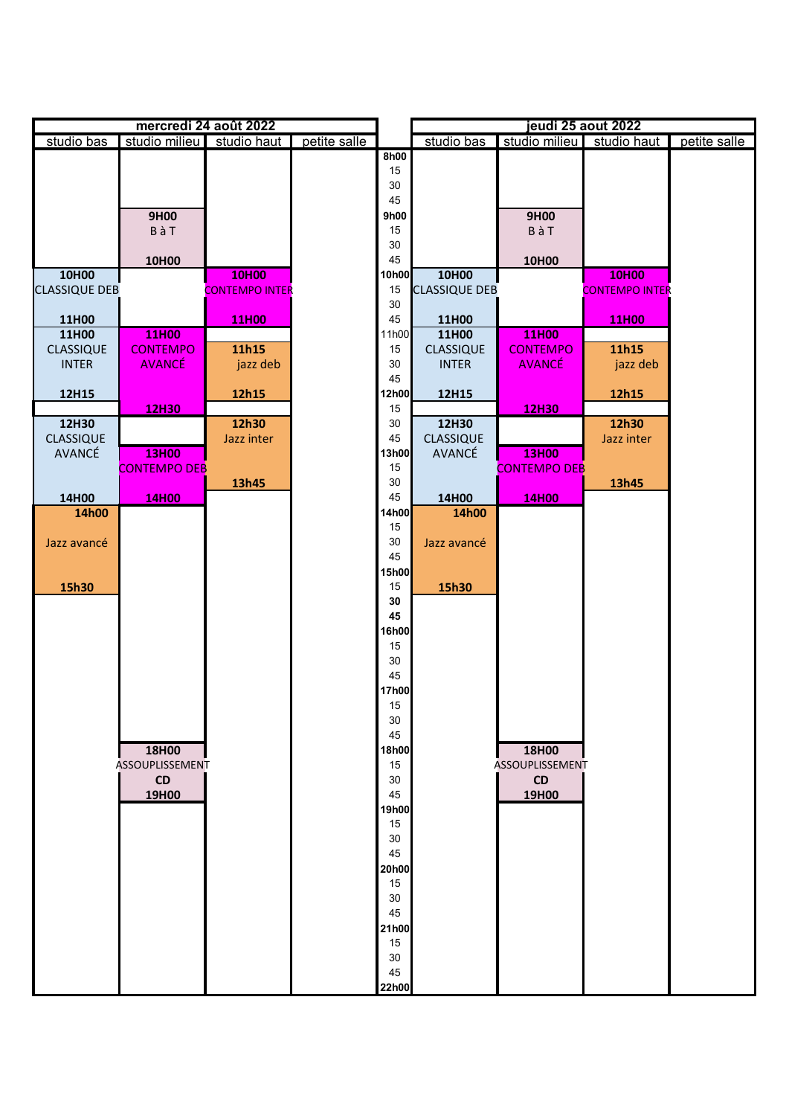| mercredi 24 août 2022 |                     |                       |              | jeudi 25 aout 2022 |                      |                     |                       |              |
|-----------------------|---------------------|-----------------------|--------------|--------------------|----------------------|---------------------|-----------------------|--------------|
| studio bas            | studio milieu       | studio haut           | petite salle |                    | studio bas           | studio milieu       | studio haut           | petite salle |
|                       |                     |                       |              | 8h00               |                      |                     |                       |              |
|                       |                     |                       |              | 15                 |                      |                     |                       |              |
|                       |                     |                       |              | $30\,$             |                      |                     |                       |              |
|                       |                     |                       |              | 45                 |                      |                     |                       |              |
|                       | 9H00                |                       |              | 9h00<br>15         |                      | 9H00                |                       |              |
|                       | BàT                 |                       |              | 30                 |                      | BàT                 |                       |              |
|                       | 10H00               |                       |              | 45                 |                      | 10H00               |                       |              |
| 10H00                 |                     | 10H00                 |              | 10h00              | 10H00                |                     | 10H00                 |              |
| <b>CLASSIQUE DEB</b>  |                     | <b>CONTEMPO INTER</b> |              | 15                 | <b>CLASSIQUE DEB</b> |                     | <b>CONTEMPO INTER</b> |              |
|                       |                     |                       |              | 30                 |                      |                     |                       |              |
| 11H00                 |                     | 11H00                 |              | 45                 | <b>11H00</b>         |                     | 11H00                 |              |
| 11H00                 | 11H00               |                       |              | 11h00              | 11H00                | 11H00               |                       |              |
| CLASSIQUE             | <b>CONTEMPO</b>     | 11h15                 |              | 15                 | <b>CLASSIQUE</b>     | <b>CONTEMPO</b>     | 11h15                 |              |
| <b>INTER</b>          | <b>AVANCÉ</b>       | jazz deb              |              | 30                 | <b>INTER</b>         | <b>AVANCÉ</b>       | jazz deb              |              |
|                       |                     |                       |              | 45                 |                      |                     |                       |              |
| 12H15                 |                     | 12h15                 |              | 12h00              | 12H15                |                     | 12h15                 |              |
| 12H30                 | 12H30               | 12h30                 |              | 15<br>30           | 12H30                | 12H30               | 12h30                 |              |
| <b>CLASSIQUE</b>      |                     | Jazz inter            |              | 45                 | <b>CLASSIQUE</b>     |                     | Jazz inter            |              |
| AVANCÉ                | 13H00               |                       |              | <b>13h00</b>       | AVANCÉ               | 13H00               |                       |              |
|                       | <b>CONTEMPO DEB</b> |                       |              | 15                 |                      | <b>CONTEMPO DEB</b> |                       |              |
|                       |                     | 13h45                 |              | 30                 |                      |                     | 13h45                 |              |
| 14H00                 | 14H00               |                       |              | 45                 | 14H00                | 14H00               |                       |              |
| 14h00                 |                     |                       |              | 14h00              | 14h00                |                     |                       |              |
|                       |                     |                       |              | 15                 |                      |                     |                       |              |
| Jazz avancé           |                     |                       |              | 30                 | Jazz avancé          |                     |                       |              |
|                       |                     |                       |              | 45                 |                      |                     |                       |              |
|                       |                     |                       |              | 15h00              |                      |                     |                       |              |
| 15h30                 |                     |                       |              | 15                 | 15h30                |                     |                       |              |
|                       |                     |                       |              | 30<br>45           |                      |                     |                       |              |
|                       |                     |                       |              | <b>16h00</b>       |                      |                     |                       |              |
|                       |                     |                       |              | 15                 |                      |                     |                       |              |
|                       |                     |                       |              | $30\,$             |                      |                     |                       |              |
|                       |                     |                       |              | 45                 |                      |                     |                       |              |
|                       |                     |                       |              | 17h00              |                      |                     |                       |              |
|                       |                     |                       |              | 15                 |                      |                     |                       |              |
|                       |                     |                       |              | 30                 |                      |                     |                       |              |
|                       |                     |                       |              | 45                 |                      |                     |                       |              |
|                       | 18H00               |                       |              | 18h00              |                      | 18H00               |                       |              |
|                       | ASSOUPLISSEMENT     |                       |              | 15                 |                      | ASSOUPLISSEMENT     |                       |              |
|                       | CD                  |                       |              | 30                 |                      | CD                  |                       |              |
|                       | 19H00               |                       |              | 45<br>19h00        |                      | 19H00               |                       |              |
|                       |                     |                       |              | 15                 |                      |                     |                       |              |
|                       |                     |                       |              | 30                 |                      |                     |                       |              |
|                       |                     |                       |              | 45                 |                      |                     |                       |              |
|                       |                     |                       |              | 20h00              |                      |                     |                       |              |
|                       |                     |                       |              | 15                 |                      |                     |                       |              |
|                       |                     |                       |              | 30                 |                      |                     |                       |              |
|                       |                     |                       |              | 45                 |                      |                     |                       |              |
|                       |                     |                       |              | 21h00              |                      |                     |                       |              |
|                       |                     |                       |              | 15                 |                      |                     |                       |              |
|                       |                     |                       |              | 30                 |                      |                     |                       |              |
|                       |                     |                       |              | 45                 |                      |                     |                       |              |
|                       |                     |                       |              | 22h00              |                      |                     |                       |              |